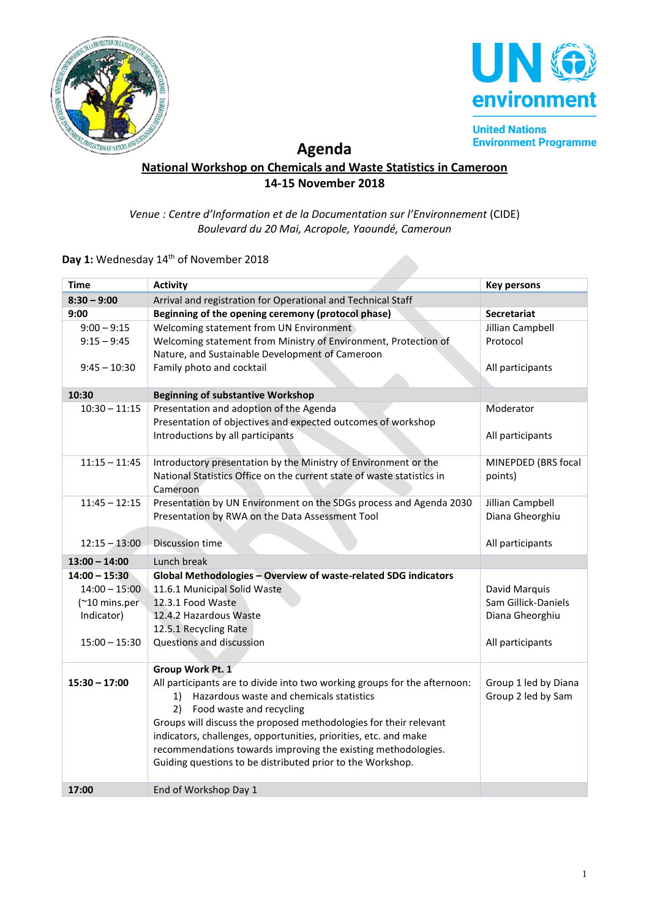



**United Nations Environment Programme** 

# **Agenda**

### **National Workshop on Chemicals and Waste Statistics in Cameroon 14-15 November 2018**

#### *Venue : Centre d'Information et de la Documentation sur l'Environnement* (CIDE) *Boulevard du 20 Mai, Acropole, Yaoundé, Cameroun*

## Day 1: Wednesday 14<sup>th</sup> of November 2018

| <b>Time</b>     | <b>Activity</b>                                                                | <b>Key persons</b>   |
|-----------------|--------------------------------------------------------------------------------|----------------------|
| $8:30 - 9:00$   | Arrival and registration for Operational and Technical Staff                   |                      |
| 9:00            | Beginning of the opening ceremony (protocol phase)                             | Secretariat          |
| $9:00 - 9:15$   | Welcoming statement from UN Environment                                        | Jillian Campbell     |
| $9:15 - 9:45$   | Welcoming statement from Ministry of Environment, Protection of                | Protocol             |
|                 | Nature, and Sustainable Development of Cameroon                                |                      |
| $9:45 - 10:30$  | Family photo and cocktail                                                      | All participants     |
| 10:30           | <b>Beginning of substantive Workshop</b>                                       |                      |
| $10:30 - 11:15$ | Presentation and adoption of the Agenda                                        | Moderator            |
|                 | Presentation of objectives and expected outcomes of workshop                   |                      |
|                 | Introductions by all participants                                              | All participants     |
|                 |                                                                                |                      |
| $11:15 - 11:45$ | Introductory presentation by the Ministry of Environment or the                | MINEPDED (BRS focal  |
|                 | National Statistics Office on the current state of waste statistics in         | points)              |
| $11:45 - 12:15$ | Cameroon<br>Presentation by UN Environment on the SDGs process and Agenda 2030 | Jillian Campbell     |
|                 | Presentation by RWA on the Data Assessment Tool                                | Diana Gheorghiu      |
|                 |                                                                                |                      |
| $12:15 - 13:00$ | Discussion time                                                                | All participants     |
| $13:00 - 14:00$ | Lunch break                                                                    |                      |
| $14:00 - 15:30$ | Global Methodologies - Overview of waste-related SDG indicators                |                      |
| $14:00 - 15:00$ | 11.6.1 Municipal Solid Waste                                                   | David Marquis        |
| (~10 mins.per   | 12.3.1 Food Waste                                                              | Sam Gillick-Daniels  |
| Indicator)      | 12.4.2 Hazardous Waste                                                         | Diana Gheorghiu      |
|                 | 12.5.1 Recycling Rate                                                          |                      |
| $15:00 - 15:30$ | Questions and discussion                                                       | All participants     |
|                 | Group Work Pt. 1                                                               |                      |
| $15:30 - 17:00$ | All participants are to divide into two working groups for the afternoon:      | Group 1 led by Diana |
|                 | Hazardous waste and chemicals statistics<br>1)                                 | Group 2 led by Sam   |
|                 | 2) Food waste and recycling                                                    |                      |
|                 | Groups will discuss the proposed methodologies for their relevant              |                      |
|                 | indicators, challenges, opportunities, priorities, etc. and make               |                      |
|                 | recommendations towards improving the existing methodologies.                  |                      |
|                 | Guiding questions to be distributed prior to the Workshop.                     |                      |
|                 |                                                                                |                      |
| 17:00           | End of Workshop Day 1                                                          |                      |